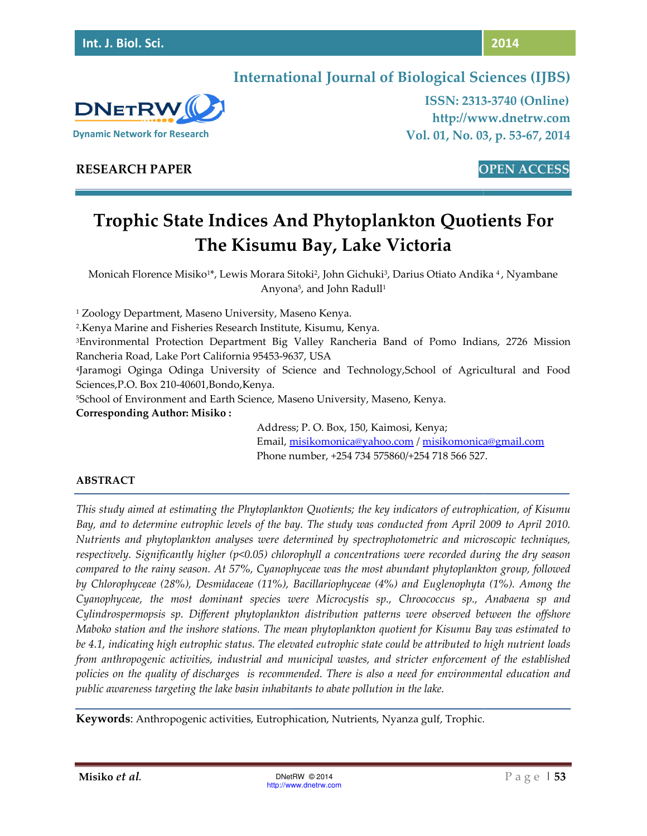

**ISSN: 2313 2313-3740 (Online) http://www.dnetrw.com Vol. 01, No. 03, p. 53-67, 2014**

# **DNETRW Dynamic Network for Research**

**RESEARCH PAPER** 

**OPEN ACCESS**

# **Trophic State Indices And Phytoplankton Quotients For The Kisumu Bay Bay, Lake Victoria**

Monicah Florence Misiko1\*, Lewis Morara Sitoki<sup>2</sup>, John Gichuki<sup>3</sup>, Darius Otiato Andika <sup>4</sup>, Nyambane Anyona<sup>5</sup>, and John Radull<sup>1</sup>

<sup>1</sup> Zoology Department, Maseno University, Maseno Kenya.

2 .Kenya Marine and Fisheries Research Institute, Kisumu, Kenya.

<sup>1</sup> Zoology Department, Maseno University, Maseno Kenya.<br><sup>2</sup>.Kenya Marine and Fisheries Research Institute, Kisumu, Kenya.<br><sup>3</sup>Environmental Protection Department Big Valley Rancheria Band of Pomo Indians, 2726 M Rancheria Road, Lake Port California 95453-9637, USA

4 Jaramogi Oginga Odinga University of Science and Technology,School of Agricultural and Food Food Sciences,P.O. Box 210-40601,Bondo,Kenya.

Sciences,P.O. Box 210-40601,Bondo,Kenya.<br><sup>5</sup>School of Environment and Earth Science, Maseno University, Maseno, Kenya.

**Corresponding Author: Misiko :** 

Address; P. O. Box, 150, Kaimosi, Kenya; Email, <u>misikomonica@yahoo.com</u> / <u>misikomonica@gmail.com</u> Phone number, +254 734 575860/+254 718 566 527. 734

# **ABSTRACT**

*This study aimed at estimating the Phytoplankton Quotients; the key indicators of eutrophication, of Kisumu Bay, and to determine eutrophic levels of the bay. The study was conducted from April 2009 to April 2010. Nutrients and phytoplankton analyses were determined by spectrophotometric and microscopic techniques, respectively. Significantly higher (p<0.05) chlorophyll a concentrations were recorded during the dry season compared to the rainy season. At 57%, Cyanophyceae was the most abundant phytoplankton group, followed by Chlorophyceae (28%), Desmidaceae (11%), Bacillariophyceae (4%) and Euglenophyta (1%). Among the Cyanophyceae, the most dominant species were Microcystis sp., Chroococcus sp., Anabaena sp and Cylindrospermopsis sp. Different phy Maboko station and the inshore stations. The mean phytoplankton quotient for Kisumu Bay was estimated to Nutrients and phytoplankton analyses were determined by spectrophotometric and microscopic techniques,*<br>respectively. Significantly higher (p<0.05) chlorophyll a concentrations were recorded during the dry season<br>compared *from anthropogenic activities, industrial and municipal wastes, and stricter enforcement of the established policies on the quality of discharges is recommended. There is also a need for environmental education and public awareness targeting the lake basin inhabitants to abate pollution in the lake. determine eutrophic levels of the bay. The study was conducted from April 2009 to April 2010.*<br>*d phytoplankton analyses were determined by spectrophotometric and microscopic techniques,*<br>*Significantly higher (p<0.05) ch* 8%), Desmidaceae (11%), Bacillariophyceae (4%) and Euglenophyta (1%). Among the<br>most dominant species were Microcystis sp., Chroococcus sp., Anabaena sp and<br>sp. Different phytoplankton distribution patterns were observed b from anthropogenic activities, industrial and municipal wastes, and stricter enforcement of the<br>policies on the quality of discharges is recommended. There is also a need for environmental edi<br>public awareness targeting t

**Keywords**: Anthropogenic activities, Eutrophication, Nutrients, Nyanza gulf, Trophic.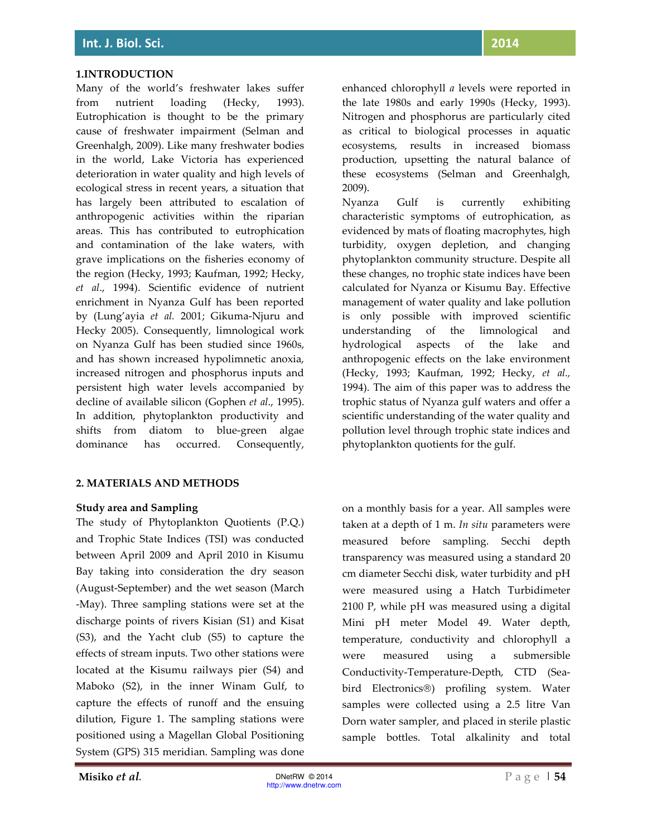#### **1.INTRODUCTION**

Many of the world's freshwater lakes suffer from nutrient loading (Hecky, 1993). Eutrophication is thought to be the primary cause of freshwater impairment (Selman and Greenhalgh, 2009). Like many freshwater bodies in the world, Lake Victoria has experienced deterioration in water quality and high levels of ecological stress in recent years, a situation that has largely been attributed to escalation of anthropogenic activities within the riparian areas. This has contributed to eutrophication and contamination of the lake waters, with grave implications on the fisheries economy of the region (Hecky, 1993; Kaufman, 1992; Hecky, *et al*., 1994). Scientific evidence of nutrient enrichment in Nyanza Gulf has been reported by (Lung'ayia *et al.* 2001; Gikuma-Njuru and Hecky 2005). Consequently, limnological work on Nyanza Gulf has been studied since 1960s, and has shown increased hypolimnetic anoxia, increased nitrogen and phosphorus inputs and persistent high water levels accompanied by decline of available silicon (Gophen *et al*., 1995). In addition, phytoplankton productivity and shifts from diatom to blue-green algae dominance has occurred. Consequently,

#### **2. MATERIALS AND METHODS**

#### **Study area and Sampling**

The study of Phytoplankton Quotients (P.Q.) and Trophic State Indices (TSI) was conducted between April 2009 and April 2010 in Kisumu Bay taking into consideration the dry season (August-September) and the wet season (March -May). Three sampling stations were set at the discharge points of rivers Kisian (S1) and Kisat (S3), and the Yacht club (S5) to capture the effects of stream inputs. Two other stations were located at the Kisumu railways pier (S4) and Maboko (S2), in the inner Winam Gulf, to capture the effects of runoff and the ensuing dilution, Figure 1. The sampling stations were positioned using a Magellan Global Positioning System (GPS) 315 meridian. Sampling was done

enhanced chlorophyll *a* levels were reported in the late 1980s and early 1990s (Hecky, 1993). Nitrogen and phosphorus are particularly cited as critical to biological processes in aquatic ecosystems, results in increased biomass production, upsetting the natural balance of these ecosystems (Selman and Greenhalgh, 2009).

Nyanza Gulf is currently exhibiting characteristic symptoms of eutrophication, as evidenced by mats of floating macrophytes, high turbidity, oxygen depletion, and changing phytoplankton community structure. Despite all these changes, no trophic state indices have been calculated for Nyanza or Kisumu Bay. Effective management of water quality and lake pollution is only possible with improved scientific understanding of the limnological and hydrological aspects of the lake and anthropogenic effects on the lake environment (Hecky, 1993; Kaufman, 1992; Hecky, *et al.,* 1994). The aim of this paper was to address the trophic status of Nyanza gulf waters and offer a scientific understanding of the water quality and pollution level through trophic state indices and phytoplankton quotients for the gulf.

on a monthly basis for a year. All samples were taken at a depth of 1 m. *In situ* parameters were measured before sampling. Secchi depth transparency was measured using a standard 20 cm diameter Secchi disk, water turbidity and pH were measured using a Hatch Turbidimeter 2100 P, while pH was measured using a digital Mini pH meter Model 49. Water depth, temperature, conductivity and chlorophyll a were measured using a submersible Conductivity-Temperature-Depth, CTD (Seabird Electronics®) profiling system. Water samples were collected using a 2.5 litre Van Dorn water sampler, and placed in sterile plastic sample bottles. Total alkalinity and total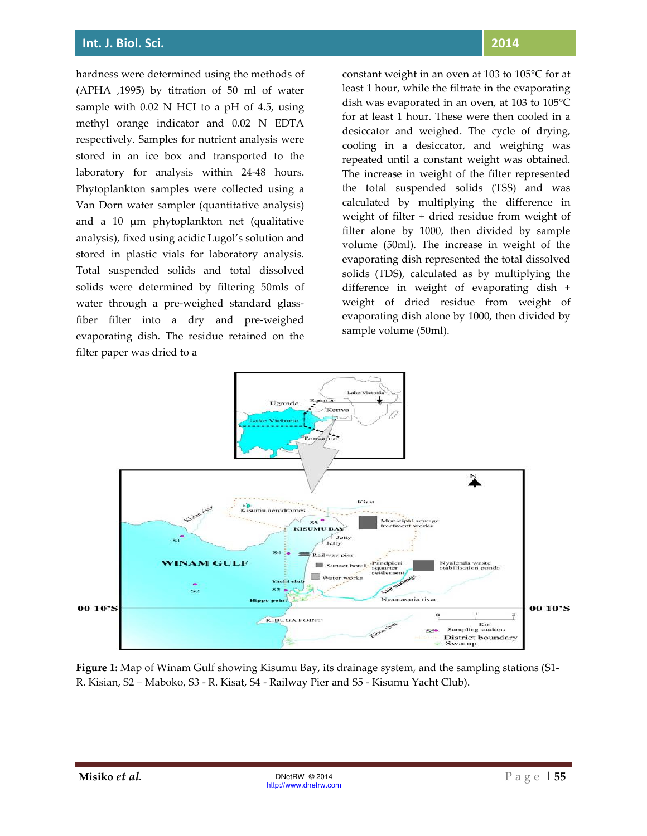hardness were determined using the methods of (APHA ,1995) by titration of 50 ml of water sample with 0.02 N HCI to a pH of 4.5, using methyl orange indicator and 0.02 N EDTA respectively. Samples for nutrient analysis were stored in an ice box and transported to the laboratory for analysis within 24-48 hours. Phytoplankton samples were collected using a Van Dorn water sampler (quantitative analysis) and a 10 µm phytoplankton net (qualitative analysis), fixed using acidic Lugol's solution and stored in plastic vials for laboratory analysis. Total suspended solids and total dissolved solids were determined by filtering 50mls of water through a pre-weighed standard glassfiber filter into a dry and pre-weighed evaporating dish. The residue retained on the filter paper was dried to a

## **2014**

constant weight in an oven at 103 to 105°C for at least 1 hour, while the filtrate in the evaporating dish was evaporated in an oven, at 103 to 105°C for at least 1 hour. These were then cooled in a desiccator and weighed. The cycle of drying, cooling in a desiccator, and weighing was repeated until a constant weight was obtained. The increase in weight of the filter represented the total suspended solids (TSS) and was calculated by multiplying the difference in weight of filter + dried residue from weight of filter alone by 1000, then divided by sample volume (50ml). The increase in weight of the evaporating dish represented the total dissolved solids (TDS), calculated as by multiplying the difference in weight of evaporating dish + weight of dried residue from weight of evaporating dish alone by 1000, then divided by sample volume (50ml).



**Figure 1:** Map of Winam Gulf showing Kisumu Bay, its drainage system, and the sampling stations (S1- R. Kisian, S2 – Maboko, S3 - R. Kisat, S4 - Railway Pier and S5 - Kisumu Yacht Club).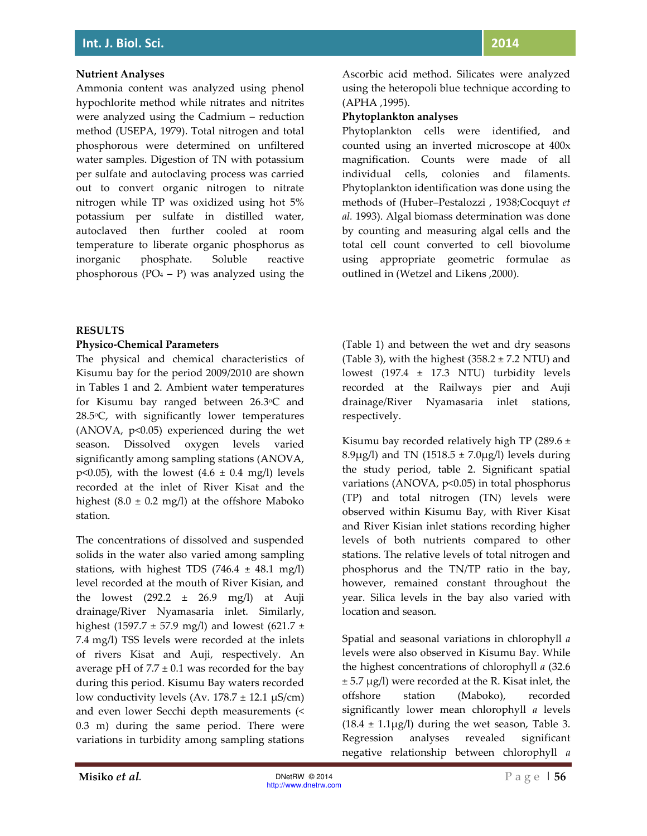## **Nutrient Analyses**

Ammonia content was analyzed using phenol hypochlorite method while nitrates and nitrites were analyzed using the Cadmium – reduction method (USEPA, 1979). Total nitrogen and total phosphorous were determined on unfiltered water samples. Digestion of TN with potassium per sulfate and autoclaving process was carried out to convert organic nitrogen to nitrate nitrogen while TP was oxidized using hot 5% potassium per sulfate in distilled water, autoclaved then further cooled at room temperature to liberate organic phosphorus as inorganic phosphate. Soluble reactive phosphorous ( $PO_4 - P$ ) was analyzed using the Ascorbic acid method. Silicates were analyzed using the heteropoli blue technique according to (APHA ,1995).

#### **Phytoplankton analyses**

Phytoplankton cells were identified, and counted using an inverted microscope at 400x magnification. Counts were made of all individual cells, colonies and filaments. Phytoplankton identification was done using the methods of (Huber–Pestalozzi , 1938;Cocquyt *et al.* 1993). Algal biomass determination was done by counting and measuring algal cells and the total cell count converted to cell biovolume using appropriate geometric formulae as outlined in (Wetzel and Likens ,2000).

## **RESULTS**

## **Physico-Chemical Parameters**

The physical and chemical characteristics of Kisumu bay for the period 2009/2010 are shown in Tables 1 and 2. Ambient water temperatures for Kisumu bay ranged between 26.3oC and 28.5°C, with significantly lower temperatures (ANOVA, p<0.05) experienced during the wet season. Dissolved oxygen levels varied significantly among sampling stations (ANOVA, p<0.05), with the lowest  $(4.6 \pm 0.4 \text{ mg/l})$  levels recorded at the inlet of River Kisat and the highest  $(8.0 \pm 0.2 \text{ mg/l})$  at the offshore Maboko station.

The concentrations of dissolved and suspended solids in the water also varied among sampling stations, with highest TDS  $(746.4 \pm 48.1 \text{ mg/l})$ level recorded at the mouth of River Kisian, and the lowest  $(292.2 \pm 26.9 \text{ mg/l})$  at Auji drainage/River Nyamasaria inlet. Similarly, highest (1597.7  $\pm$  57.9 mg/l) and lowest (621.7  $\pm$ 7.4 mg/l) TSS levels were recorded at the inlets of rivers Kisat and Auji, respectively. An average pH of  $7.7 \pm 0.1$  was recorded for the bay during this period. Kisumu Bay waters recorded low conductivity levels (Av.  $178.7 \pm 12.1 \mu\text{S/cm}$ ) and even lower Secchi depth measurements (< 0.3 m) during the same period. There were variations in turbidity among sampling stations (Table 1) and between the wet and dry seasons (Table 3), with the highest  $(358.2 \pm 7.2$  NTU) and lowest  $(197.4 \pm 17.3 \text{ NTU})$  turbidity levels recorded at the Railways pier and Auji drainage/River Nyamasaria inlet stations, respectively.

Kisumu bay recorded relatively high TP (289.6  $\pm$ 8.9 $\mu$ g/l) and TN (1518.5 ± 7.0 $\mu$ g/l) levels during the study period, table 2. Significant spatial variations (ANOVA, p<0.05) in total phosphorus (TP) and total nitrogen (TN) levels were observed within Kisumu Bay, with River Kisat and River Kisian inlet stations recording higher levels of both nutrients compared to other stations. The relative levels of total nitrogen and phosphorus and the TN/TP ratio in the bay, however, remained constant throughout the year. Silica levels in the bay also varied with location and season.

Spatial and seasonal variations in chlorophyll *a* levels were also observed in Kisumu Bay. While the highest concentrations of chlorophyll *a* (32.6  $\pm$  5.7  $\mu$ g/l) were recorded at the R. Kisat inlet, the offshore station (Maboko), recorded significantly lower mean chlorophyll *a* levels  $(18.4 \pm 1.1\mu\text{g/l})$  during the wet season, Table 3. Regression analyses revealed significant negative relationship between chlorophyll *a*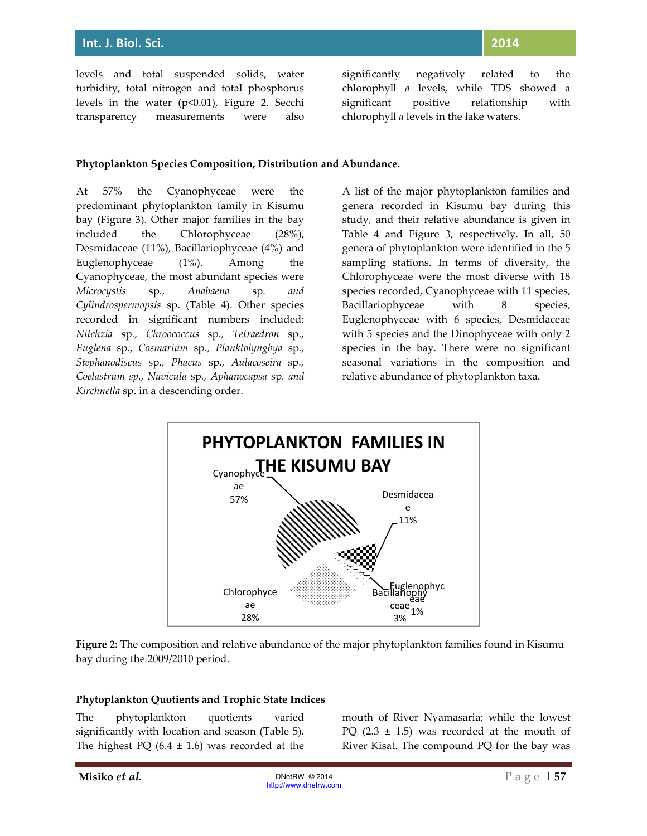levels and total suspended solids, water turbidity, total nitrogen and total phosphorus levels in the water (p<0.01), Figure 2. Secchi transparency measurements were also

significantly negatively related to the chlorophyll *a* levels, while TDS showed a significant positive relationship with chlorophyll *a* levels in the lake waters.

#### **Phytoplankton Species Composition, Distribution and Abundance.**

At 57% the Cyanophyceae were the predominant phytoplankton family in Kisumu bay (Figure 3). Other major families in the bay included the Chlorophyceae (28%), Desmidaceae (11%), Bacillariophyceae (4%) and Euglenophyceae (1%). Among the Cyanophyceae, the most abundant species were *Microcystis* sp*., Anabaena* sp*. and Cylindrospermopsis* sp. (Table 4). Other species recorded in significant numbers included: *Nitchzia* sp*., Chroococcus* sp*., Tetraedron* sp., *Euglena* sp., *Cosmarium* sp*., Planktolyngbya* sp*., Stephanodiscus* sp*., Phacus* sp*., Aulacoseira* sp*., Coelastrum sp., Navicula* sp*., Aphanocapsa* sp*. and Kirchnella* sp. in a descending order.

A list of the major phytoplankton families and genera recorded in Kisumu bay during this study, and their relative abundance is given in Table 4 and Figure 3, respectively. In all, 50 genera of phytoplankton were identified in the 5 sampling stations. In terms of diversity, the Chlorophyceae were the most diverse with 18 species recorded, Cyanophyceae with 11 species, Bacillariophyceae with 8 species, Euglenophyceae with 6 species, Desmidaceae with 5 species and the Dinophyceae with only 2 species in the bay. There were no significant seasonal variations in the composition and relative abundance of phytoplankton taxa.





#### **Phytoplankton Quotients and Trophic State Indices**

The phytoplankton quotients varied significantly with location and season (Table 5). The highest PQ  $(6.4 \pm 1.6)$  was recorded at the mouth of River Nyamasaria; while the lowest PQ  $(2.3 \pm 1.5)$  was recorded at the mouth of River Kisat. The compound PQ for the bay was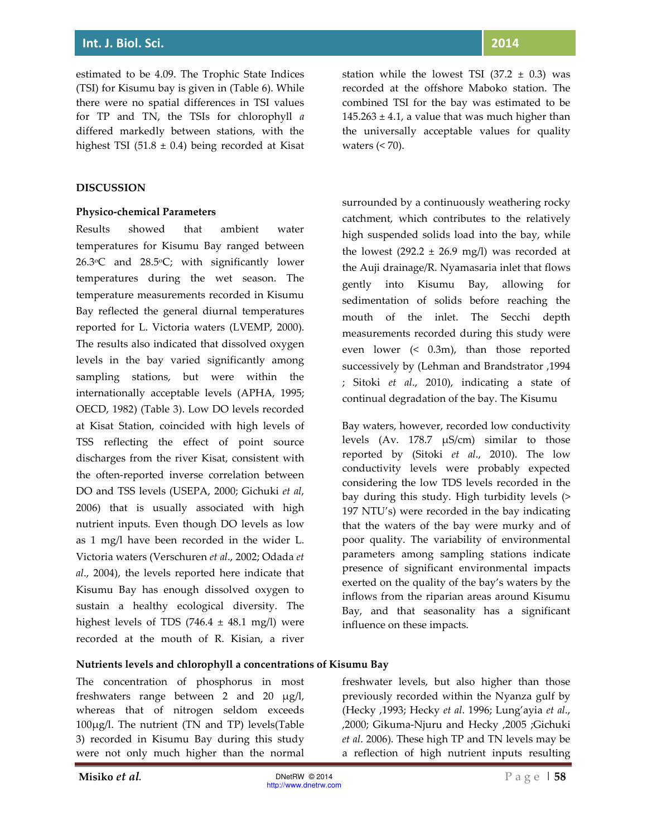estimated to be 4.09. The Trophic State Indices (TSI) for Kisumu bay is given in (Table 6). While there were no spatial differences in TSI values for TP and TN, the TSIs for chlorophyll *a* differed markedly between stations, with the highest TSI (51.8  $\pm$  0.4) being recorded at Kisat

## **DISCUSSION**

## **Physico-chemical Parameters**

Results showed that ambient water temperatures for Kisumu Bay ranged between 26.3°C and 28.5°C; with significantly lower temperatures during the wet season. The temperature measurements recorded in Kisumu Bay reflected the general diurnal temperatures reported for L. Victoria waters (LVEMP, 2000). The results also indicated that dissolved oxygen levels in the bay varied significantly among sampling stations, but were within the internationally acceptable levels (APHA, 1995; OECD, 1982) (Table 3). Low DO levels recorded at Kisat Station, coincided with high levels of TSS reflecting the effect of point source discharges from the river Kisat, consistent with the often-reported inverse correlation between DO and TSS levels (USEPA, 2000; Gichuki *et al*, 2006) that is usually associated with high nutrient inputs. Even though DO levels as low as 1 mg/l have been recorded in the wider L. Victoria waters (Verschuren *et al*., 2002; Odada *et al*., 2004), the levels reported here indicate that Kisumu Bay has enough dissolved oxygen to sustain a healthy ecological diversity. The highest levels of TDS  $(746.4 \pm 48.1 \text{ mg/l})$  were recorded at the mouth of R. Kisian, a river station while the lowest TSI  $(37.2 \pm 0.3)$  was recorded at the offshore Maboko station. The combined TSI for the bay was estimated to be  $145.263 \pm 4.1$ , a value that was much higher than the universally acceptable values for quality waters  $( $70$ ).$ 

surrounded by a continuously weathering rocky catchment, which contributes to the relatively high suspended solids load into the bay, while the lowest  $(292.2 \pm 26.9 \text{ mg/l})$  was recorded at the Auji drainage/R. Nyamasaria inlet that flows gently into Kisumu Bay, allowing for sedimentation of solids before reaching the mouth of the inlet. The Secchi depth measurements recorded during this study were even lower (< 0.3m), than those reported successively by (Lehman and Brandstrator ,1994 ; Sitoki *et al*., 2010), indicating a state of continual degradation of the bay. The Kisumu

Bay waters, however, recorded low conductivity levels (Av. 178.7 µS/cm) similar to those reported by (Sitoki *et al*., 2010). The low conductivity levels were probably expected considering the low TDS levels recorded in the bay during this study. High turbidity levels (> 197 NTU's) were recorded in the bay indicating that the waters of the bay were murky and of poor quality. The variability of environmental parameters among sampling stations indicate presence of significant environmental impacts exerted on the quality of the bay's waters by the inflows from the riparian areas around Kisumu Bay, and that seasonality has a significant influence on these impacts.

#### **Nutrients levels and chlorophyll a concentrations of Kisumu Bay**

The concentration of phosphorus in most freshwaters range between 2 and 20 µg/l, whereas that of nitrogen seldom exceeds 100µg/l. The nutrient (TN and TP) levels(Table 3) recorded in Kisumu Bay during this study were not only much higher than the normal

freshwater levels, but also higher than those previously recorded within the Nyanza gulf by (Hecky ,1993; Hecky *et al*. 1996; Lung'ayia *et al*., ,2000; Gikuma-Njuru and Hecky ,2005 ;Gichuki *et al*. 2006). These high TP and TN levels may be a reflection of high nutrient inputs resulting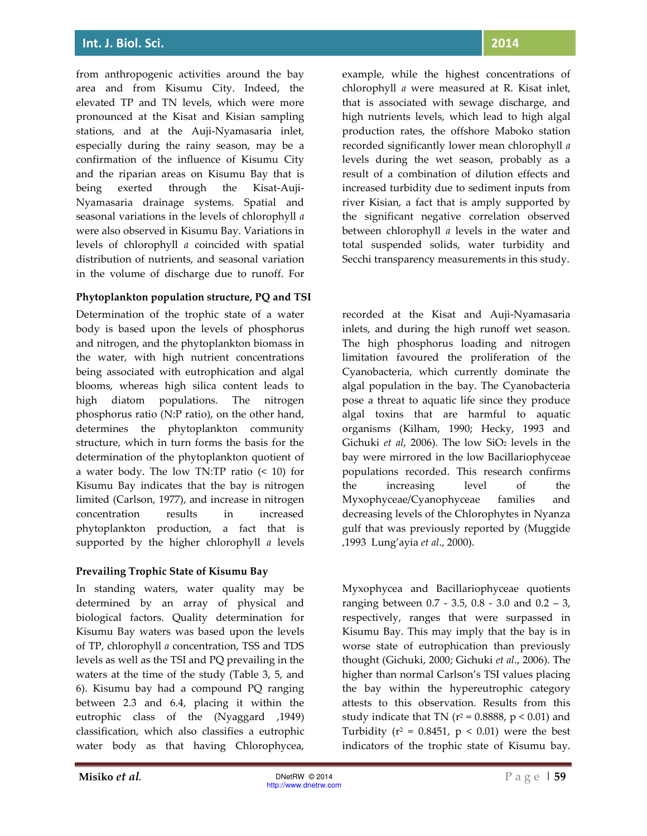from anthropogenic activities around the bay area and from Kisumu City. Indeed, the elevated TP and TN levels, which were more pronounced at the Kisat and Kisian sampling stations, and at the Auji-Nyamasaria inlet, especially during the rainy season, may be a confirmation of the influence of Kisumu City and the riparian areas on Kisumu Bay that is being exerted through the Kisat-Auji-Nyamasaria drainage systems. Spatial and seasonal variations in the levels of chlorophyll *a* were also observed in Kisumu Bay. Variations in levels of chlorophyll *a* coincided with spatial distribution of nutrients, and seasonal variation in the volume of discharge due to runoff. For

## **Phytoplankton population structure, PQ and TSI**

Determination of the trophic state of a water body is based upon the levels of phosphorus and nitrogen, and the phytoplankton biomass in the water, with high nutrient concentrations being associated with eutrophication and algal blooms, whereas high silica content leads to high diatom populations. The nitrogen phosphorus ratio (N:P ratio), on the other hand, determines the phytoplankton community structure, which in turn forms the basis for the determination of the phytoplankton quotient of a water body. The low TN:TP ratio (< 10) for Kisumu Bay indicates that the bay is nitrogen limited (Carlson, 1977), and increase in nitrogen concentration results in increased phytoplankton production, a fact that is supported by the higher chlorophyll *a* levels

## **Prevailing Trophic State of Kisumu Bay**

In standing waters, water quality may be determined by an array of physical and biological factors. Quality determination for Kisumu Bay waters was based upon the levels of TP, chlorophyll *a* concentration, TSS and TDS levels as well as the TSI and PQ prevailing in the waters at the time of the study (Table 3, 5, and 6). Kisumu bay had a compound PQ ranging between 2.3 and 6.4, placing it within the eutrophic class of the (Nyaggard ,1949) classification, which also classifies a eutrophic water body as that having Chlorophycea,

example, while the highest concentrations of chlorophyll *a* were measured at R. Kisat inlet, that is associated with sewage discharge, and high nutrients levels, which lead to high algal production rates, the offshore Maboko station recorded significantly lower mean chlorophyll *a* levels during the wet season, probably as a result of a combination of dilution effects and increased turbidity due to sediment inputs from river Kisian, a fact that is amply supported by the significant negative correlation observed between chlorophyll *a* levels in the water and total suspended solids, water turbidity and Secchi transparency measurements in this study.

recorded at the Kisat and Auji-Nyamasaria inlets, and during the high runoff wet season. The high phosphorus loading and nitrogen limitation favoured the proliferation of the Cyanobacteria, which currently dominate the algal population in the bay. The Cyanobacteria pose a threat to aquatic life since they produce algal toxins that are harmful to aquatic organisms (Kilham, 1990; Hecky, 1993 and Gichuki et al, 2006). The low SiO<sub>2</sub> levels in the bay were mirrored in the low Bacillariophyceae populations recorded. This research confirms the increasing level of the Myxophyceae/Cyanophyceae families and decreasing levels of the Chlorophytes in Nyanza gulf that was previously reported by (Muggide ,1993 Lung'ayia *et al*., 2000).

Myxophycea and Bacillariophyceae quotients ranging between 0.7 - 3.5, 0.8 - 3.0 and 0.2 – 3, respectively, ranges that were surpassed in Kisumu Bay. This may imply that the bay is in worse state of eutrophication than previously thought (Gichuki, 2000; Gichuki *et al*., 2006). The higher than normal Carlson's TSI values placing the bay within the hypereutrophic category attests to this observation. Results from this study indicate that TN (r<sup>2</sup> = 0.8888, p < 0.01) and Turbidity ( $r^2 = 0.8451$ ,  $p < 0.01$ ) were the best indicators of the trophic state of Kisumu bay.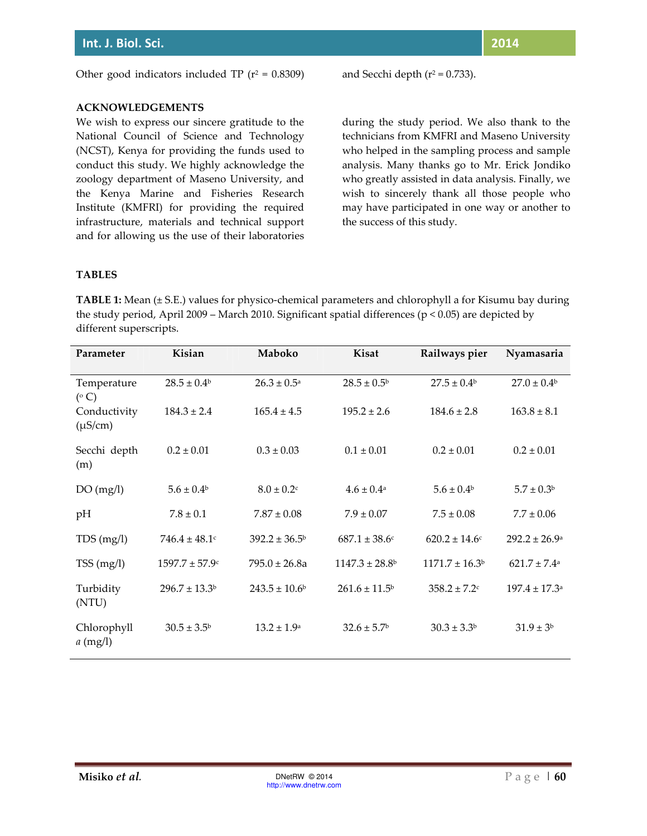$= 0.8309$  and Secchi depth ( $r^2 = 0.733$ ).

## **ACKNOWLEDGEMENTS**

We wish to express our sincere gratitude to the National Council of Science and Technology (NCST), Kenya for providing the funds used to conduct this study. We highly acknowledge the zoology department of Maseno University, and the Kenya Marine and Fisheries Research Institute (KMFRI) for providing the required infrastructure, materials and technical support and for allowing us the use of their laboratories during the study period. We also thank to the technicians from KMFRI and Maseno University who helped in the sampling process and sample analysis. Many thanks go to Mr. Erick Jondiko who greatly assisted in data analysis. Finally, we wish to sincerely thank all those people who may have participated in one way or another to the success of this study.

## **TABLES**

**TABLE 1:** Mean (± S.E.) values for physico-chemical parameters and chlorophyll a for Kisumu bay during the study period, April 2009 – March 2010. Significant spatial differences (p < 0.05) are depicted by different superscripts.

| Parameter                    | Kisian                 | Maboko                        | Kisat                       | Railways pier                | Nyamasaria                    |
|------------------------------|------------------------|-------------------------------|-----------------------------|------------------------------|-------------------------------|
| Temperature<br>$(^\circ C)$  | $28.5 \pm 0.4^{\rm b}$ | $26.3 \pm 0.5^{\rm a}$        | $28.5 \pm 0.5^{\rm b}$      | $27.5 \pm 0.4^{\rm b}$       | $27.0 \pm 0.4^{\rm b}$        |
| Conductivity<br>$(\mu S/cm)$ | $184.3 \pm 2.4$        | $165.4 \pm 4.5$               | $195.2 \pm 2.6$             | $184.6 \pm 2.8$              | $163.8 \pm 8.1$               |
| Secchi depth<br>(m)          | $0.2 \pm 0.01$         | $0.3 \pm 0.03$                | $0.1 \pm 0.01$              | $0.2 \pm 0.01$               | $0.2 \pm 0.01$                |
| DO(mg/l)                     | $5.6 \pm 0.4^{\rm b}$  | $8.0 \pm 0.2$ c               | $4.6 \pm 0.4$ <sup>a</sup>  | $5.6 \pm 0.4^{\rm b}$        | $5.7 \pm 0.3^{\rm b}$         |
| pH                           | $7.8 \pm 0.1$          | $7.87 \pm 0.08$               | $7.9 \pm 0.07$              | $7.5 \pm 0.08$               | $7.7 \pm 0.06$                |
| TDS(mg/l)                    | $746.4 \pm 48.1$       | $392.2 \pm 36.5^{\circ}$      | $687.1 \pm 38.6$ c          | $620.2 \pm 14.6$ c           | $292.2 \pm 26.9^{\circ}$      |
| TSS(mg/l)                    | $1597.7 \pm 57.9$ c    | $795.0 \pm 26.8a$             | $1147.3 \pm 28.8^{\circ}$   | $1171.7 \pm 16.3^b$          | $621.7 \pm 7.4$ <sup>a</sup>  |
| Turbidity<br>(NTU)           | $296.7 \pm 13.3^b$     | $243.5 \pm 10.6$ <sup>b</sup> | $261.6 \pm 11.5^{\rm b}$    | $358.2 \pm 7.2$ <sup>c</sup> | $197.4 \pm 17.3$ <sup>a</sup> |
| Chlorophyll<br>$a$ (mg/l)    | $30.5 \pm 3.5^{\rm b}$ | $13.2 \pm 1.9^{\circ}$        | $32.6 \pm 5.7$ <sup>b</sup> | $30.3 \pm 3.3^{\rm b}$       | $31.9 \pm 3^{6}$              |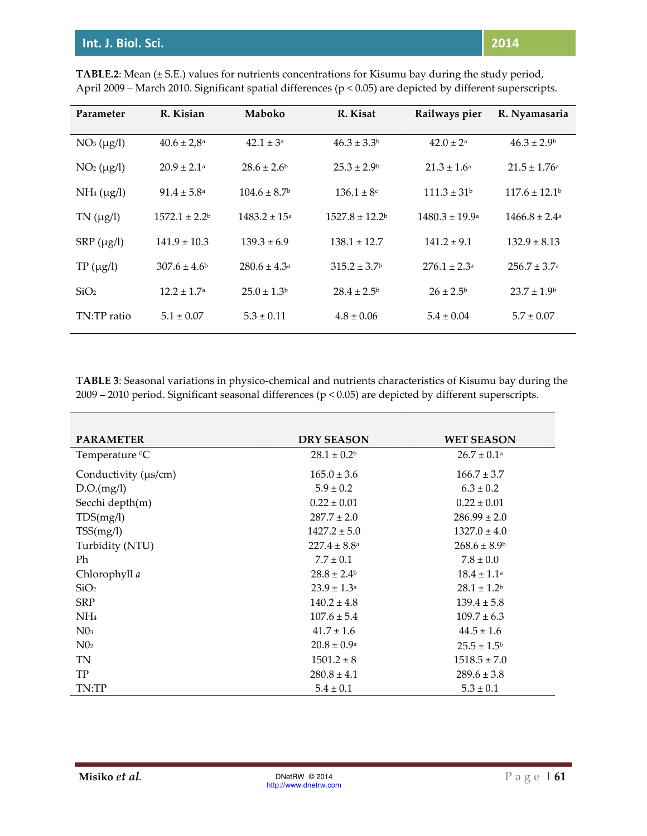| Parameter        | R. Kisian                   | Maboko                       | R. Kisat                | Railways pier                  | R. Nyamasaria                 |
|------------------|-----------------------------|------------------------------|-------------------------|--------------------------------|-------------------------------|
| $NO3 (\mu g/l)$  | $40.6 \pm 2.8^{\text{a}}$   | $42.1 \pm 3^a$               | $46.3 \pm 3.3^b$        | $42.0 \pm 2^a$                 | $46.3 \pm 2.9^{\circ}$        |
| $NO2 (\mu g/l)$  | $20.9 \pm 2.1$ <sup>a</sup> | $28.6 \pm 2.6^{\circ}$       | $25.3 \pm 2.9^{\circ}$  | $21.3 \pm 1.6^a$               | $21.5 \pm 1.76$ <sup>a</sup>  |
| $NH_4(\mu g/l)$  | $91.4 \pm 5.8^{\circ}$      | $104.6 \pm 8.7$ <sup>b</sup> | $136.1 \pm 8^c$         | $111.3 \pm 31$ <sup>b</sup>    | $117.6 \pm 12.1$ <sup>b</sup> |
| $TN (\mu g/l)$   | $1572.1 \pm 2.2^b$          | $1483.2 \pm 15^{\circ}$      | $1527.8 \pm 12.2$       | $1480.3 \pm 19.9$ <sup>a</sup> | $1466.8 \pm 2.4^{\circ}$      |
| $SRP (\mu g/l)$  | $141.9 \pm 10.3$            | $139.3 \pm 6.9$              | $138.1 \pm 12.7$        | $141.2 \pm 9.1$                | $132.9 \pm 8.13$              |
| $TP(\mu g/l)$    | $307.6 \pm 4.6^{\circ}$     | $280.6 \pm 4.3^{\circ}$      | $315.2 \pm 3.7^{\circ}$ | $276.1 \pm 2.3^{\circ}$        | $256.7 \pm 3.7^{\circ}$       |
| SiO <sub>2</sub> | $12.2 \pm 1.7^{\circ}$      | $25.0 \pm 1.3$               | $28.4 \pm 2.5^{\circ}$  | $26 \pm 2.5^{\circ}$           | $23.7 \pm 1.9^{\circ}$        |
| TN:TP ratio      | $5.1 \pm 0.07$              | $5.3 \pm 0.11$               | $4.8 \pm 0.06$          | $5.4 \pm 0.04$                 | $5.7 \pm 0.07$                |

**TABLE.2**: Mean (± S.E.) values for nutrients concentrations for Kisumu bay during the study period, April 2009 – March 2010. Significant spatial differences (p < 0.05) are depicted by different superscripts.

**TABLE 3**: Seasonal variations in physico-chemical and nutrients characteristics of Kisumu bay during the 2009 – 2010 period. Significant seasonal differences (p < 0.05) are depicted by different superscripts.

| <b>PARAMETER</b>           | <b>DRY SEASON</b>       | <b>WET SEASON</b>         |
|----------------------------|-------------------------|---------------------------|
| Temperature <sup>0</sup> C | $28.1 \pm 0.2^b$        | $26.7 \pm 0.1^{\text{a}}$ |
| Conductivity (µs/cm)       | $165.0 \pm 3.6$         | $166.7 \pm 3.7$           |
| D.O.(mg/l)                 | $5.9 \pm 0.2$           | $6.3 \pm 0.2$             |
| Secchi depth(m)            | $0.22 \pm 0.01$         | $0.22 \pm 0.01$           |
| TDS(mg/l)                  | $287.7 \pm 2.0$         | $286.99 \pm 2.0$          |
| TSS(mg/l)                  | $1427.2 \pm 5.0$        | $1327.0 \pm 4.0$          |
| Turbidity (NTU)            | $227.4 \pm 8.8^{\circ}$ | $268.6 \pm 8.9^{\circ}$   |
| Ph                         | $7.7 \pm 0.1$           | $7.8 \pm 0.0$             |
| Chlorophyll a              | $28.8 \pm 2.4^{\circ}$  | $18.4 \pm 1.1^a$          |
| SiO <sub>2</sub>           | $23.9 \pm 1.3^{\circ}$  | $28.1 \pm 1.2^b$          |
| <b>SRP</b>                 | $140.2 \pm 4.8$         | $139.4 \pm 5.8$           |
| NH <sub>4</sub>            | $107.6 \pm 5.4$         | $109.7 \pm 6.3$           |
| N0 <sub>3</sub>            | $41.7 \pm 1.6$          | $44.5 \pm 1.6$            |
| $N_{02}$                   | $20.8 \pm 0.9^{\rm a}$  | $25.5 \pm 1.5^{\circ}$    |
| TN                         | $1501.2 \pm 8$          | $1518.5 \pm 7.0$          |
| <b>TP</b>                  | $280.8 \pm 4.1$         | $289.6 \pm 3.8$           |
| TN:TP                      | $5.4 \pm 0.1$           | $5.3 \pm 0.1$             |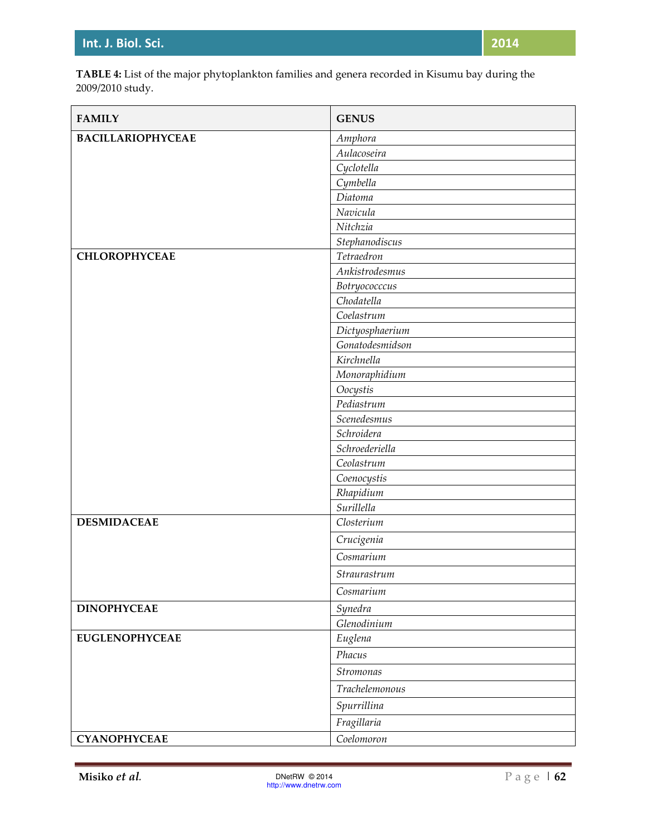**TABLE 4:** List of the major phytoplankton families and genera recorded in Kisumu bay during the 2009/2010 study.

| <b>FAMILY</b>            | <b>GENUS</b>    |
|--------------------------|-----------------|
| <b>BACILLARIOPHYCEAE</b> | Amphora         |
|                          | Aulacoseira     |
|                          | Cyclotella      |
|                          | Cymbella        |
|                          | Diatoma         |
|                          | Navicula        |
|                          | Nitchzia        |
|                          | Stephanodiscus  |
| <b>CHLOROPHYCEAE</b>     | Tetraedron      |
|                          | Ankistrodesmus  |
|                          | Botryococccus   |
|                          | Chodatella      |
|                          | Coelastrum      |
|                          | Dictyosphaerium |
|                          | Gonatodesmidson |
|                          | Kirchnella      |
|                          | Monoraphidium   |
|                          | Oocystis        |
|                          | Pediastrum      |
|                          | Scenedesmus     |
|                          | Schroidera      |
|                          | Schroederiella  |
|                          | Ceolastrum      |
|                          | Coenocystis     |
|                          | Rhapidium       |
|                          | Surillella      |
| <b>DESMIDACEAE</b>       | Closterium      |
|                          | Crucigenia      |
|                          | Cosmarium       |
|                          | Straurastrum    |
|                          | Cosmarium       |
| <b>DINOPHYCEAE</b>       | Synedra         |
|                          | Glenodinium     |
| <b>EUGLENOPHYCEAE</b>    | Euglena         |
|                          | Phacus          |
|                          | Stromonas       |
|                          | Trachelemonous  |
|                          | Spurrillina     |
|                          | Fragillaria     |
| <b>CYANOPHYCEAE</b>      | Coelomoron      |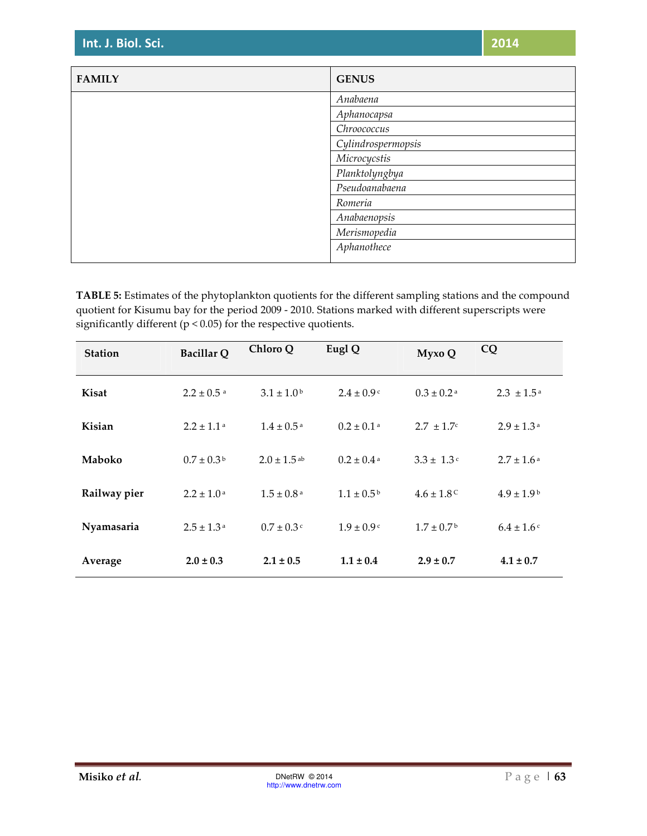| <b>FAMILY</b> | <b>GENUS</b>       |
|---------------|--------------------|
|               | Anabaena           |
|               | Aphanocapsa        |
|               | Chroococcus        |
|               | Cylindrospermopsis |
|               | Microcycstis       |
|               | Planktolyngbya     |
|               | Pseudoanabaena     |
|               | Romeria            |
|               | Anabaenopsis       |
|               | Merismopedia       |
|               | Aphanothece        |
|               |                    |

**TABLE 5:** Estimates of the phytoplankton quotients for the different sampling stations and the compound quotient for Kisumu bay for the period 2009 - 2010. Stations marked with different superscripts were significantly different (p < 0.05) for the respective quotients.

| <b>Station</b> | <b>Bacillar Q</b>          | Chloro Q                    | Eugl Q                       | Myxo Q                     | CQ                         |
|----------------|----------------------------|-----------------------------|------------------------------|----------------------------|----------------------------|
| Kisat          | $2.2 \pm 0.5$ <sup>a</sup> | $3.1 \pm 1.0^{\rm b}$       | $2.4 \pm 0.9$ c              | $0.3 \pm 0.2$ <sup>a</sup> | $2.3 \pm 1.5^{\text{a}}$   |
| Kisian         | $2.2 \pm 1.1$ <sup>a</sup> | $1.4 \pm 0.5$ <sup>a</sup>  | $0.2 \pm 0.1$ <sup>a</sup>   | $2.7 \pm 1.7$ °            | $2.9 \pm 1.3$ <sup>a</sup> |
| <b>Maboko</b>  | $0.7 \pm 0.3^{\rm b}$      | $2.0 \pm 1.5$ <sup>ab</sup> | $0.2 \pm 0.4$ <sup>a</sup>   | $3.3 \pm 1.3$ <sup>c</sup> | $2.7 \pm 1.6^{\text{ a}}$  |
| Railway pier   | $2.2 \pm 1.0^{\text{a}}$   | $1.5 \pm 0.8^{\text{a}}$    | $1.1 \pm 0.5^{\,\mathrm{b}}$ | $4.6 \pm 1.8$ <sup>C</sup> | $4.9 \pm 1.9^{\circ}$      |
| Nyamasaria     | $2.5 \pm 1.3^{\text{a}}$   | $0.7 \pm 0.3$ c             | $1.9 \pm 0.9$ c              | $1.7 \pm 0.7$ <sup>b</sup> | $6.4 \pm 1.6$              |
| Average        | $2.0 \pm 0.3$              | $2.1 \pm 0.5$               | $1.1 \pm 0.4$                | $2.9 \pm 0.7$              | $4.1 \pm 0.7$              |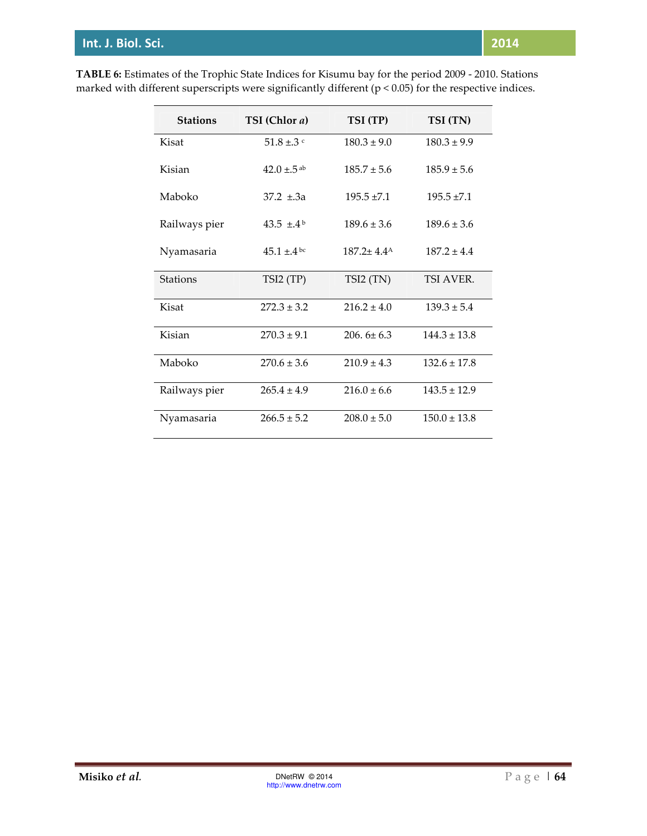| <b>Stations</b> | TSI (Chlor a)               | TSI (TP)        | TSI (TN)         |
|-----------------|-----------------------------|-----------------|------------------|
| Kisat           | 51.8 ±.3 $\rm{c}$           | $180.3 \pm 9.0$ | $180.3 \pm 9.9$  |
| Kisian          | $42.0 \pm .5$ <sup>ab</sup> | $185.7 \pm 5.6$ | $185.9 \pm 5.6$  |
| Maboko          | $37.2 \pm .3a$              | $195.5 \pm 7.1$ | $195.5 \pm 7.1$  |
| Railways pier   | 43.5 $\pm$ .4 <sup>b</sup>  | $189.6 \pm 3.6$ | $189.6 \pm 3.6$  |
| Nyamasaria      | $45.1 \pm 4$ bc             | $187.2 + 4.4A$  | $187.2 \pm 4.4$  |
| <b>Stations</b> | TSI2(TP)                    | TSI2 (TN)       | TSI AVER.        |
| Kisat           | $272.3 \pm 3.2$             | $216.2 \pm 4.0$ | $139.3 \pm 5.4$  |
| Kisian          | $270.3 \pm 9.1$             | $206.6 \pm 6.3$ | $144.3 \pm 13.8$ |
| Maboko          | $270.6 \pm 3.6$             | $210.9 \pm 4.3$ | $132.6 \pm 17.8$ |
| Railways pier   | $265.4 \pm 4.9$             | $216.0 \pm 6.6$ | $143.5 \pm 12.9$ |
| Nyamasaria      | $266.5 \pm 5.2$             | $208.0 \pm 5.0$ | $150.0 \pm 13.8$ |

**TABLE 6:** Estimates of the Trophic State Indices for Kisumu bay for the period 2009 - 2010. Stations marked with different superscripts were significantly different (p < 0.05) for the respective indices.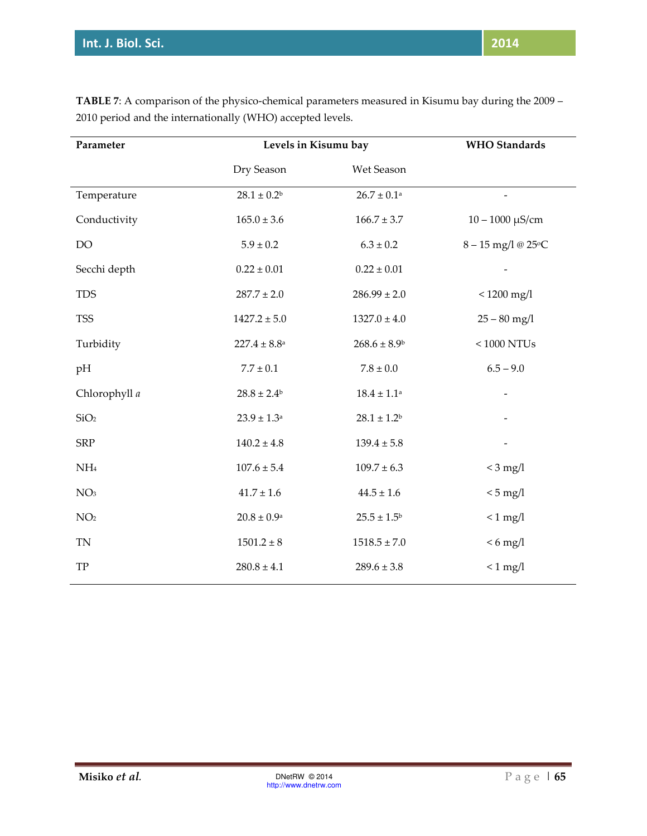| Parameter        | Levels in Kisumu bay    |                              | <b>WHO</b> Standards |
|------------------|-------------------------|------------------------------|----------------------|
|                  | Dry Season              | Wet Season                   |                      |
| Temperature      | $28.1 \pm 0.2^b$        | $26.7 \pm 0.1^{\text{a}}$    |                      |
| Conductivity     | $165.0 \pm 3.6$         | $166.7 \pm 3.7$              | $10 - 1000 \mu S/cm$ |
| DO               | $5.9 \pm 0.2$           | $6.3\pm0.2$                  | 8-15 mg/l @ 25°C     |
| Secchi depth     | $0.22 \pm 0.01$         | $0.22 \pm 0.01$              |                      |
| <b>TDS</b>       | $287.7 \pm 2.0$         | $286.99 \pm 2.0$             | $< 1200$ mg/l        |
| <b>TSS</b>       | $1427.2 \pm 5.0$        | $1327.0 \pm 4.0$             | $25 - 80$ mg/l       |
| Turbidity        | $227.4 \pm 8.8^{\rm a}$ | $268.6 \pm 8.9$ <sup>b</sup> | $<1000$ NTUs $\,$    |
| pH               | $7.7 \pm 0.1$           | $7.8 \pm 0.0$                | $6.5 - 9.0$          |
| Chlorophyll a    | $28.8 \pm 2.4^{\rm b}$  | $18.4 \pm 1.1^{\rm a}$       |                      |
| SiO <sub>2</sub> | $23.9 \pm 1.3^{\rm a}$  | $28.1 \pm 1.2^{\rm b}$       |                      |
| <b>SRP</b>       | $140.2 \pm 4.8$         | $139.4 \pm 5.8$              |                      |
| NH <sub>4</sub>  | $107.6 \pm 5.4$         | $109.7 \pm 6.3$              | $<$ 3 mg/l           |
| NO <sub>3</sub>  | $41.7 \pm 1.6$          | $44.5 \pm 1.6$               | $< 5$ mg/l           |
| NO <sub>2</sub>  | $20.8\pm0.9^{\rm a}$    | $25.5 \pm 1.5^{\rm b}$       | $< 1$ mg/l           |
| <b>TN</b>        | $1501.2\pm 8$           | $1518.5 \pm 7.0$             | $< 6$ mg/l           |
| ${\rm TP}$       | $280.8 \pm 4.1$         | $289.6 \pm 3.8$              | $< 1$ mg/l           |

**TABLE 7**: A comparison of the physico-chemical parameters measured in Kisumu bay during the 2009 – 2010 period and the internationally (WHO) accepted levels.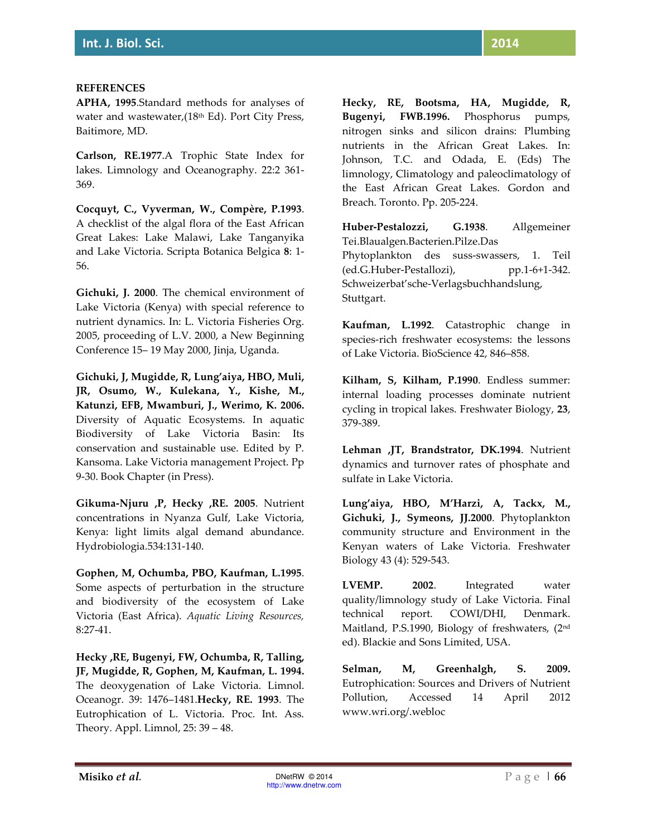#### **REFERENCES**

**APHA, 1995**.Standard methods for analyses of water and wastewater,(18<sup>th</sup> Ed). Port City Press, Baitimore, MD.

**Carlson, RE.1977**.A Trophic State Index for lakes. Limnology and Oceanography. 22:2 361- 369.

**Cocquyt, C., Vyverman, W., Compère, P.1993**. A checklist of the algal flora of the East African Great Lakes: Lake Malawi, Lake Tanganyika and Lake Victoria. Scripta Botanica Belgica **8**: 1- 56.

**Gichuki, J. 2000**. The chemical environment of Lake Victoria (Kenya) with special reference to nutrient dynamics. In: L. Victoria Fisheries Org. 2005, proceeding of L.V. 2000, a New Beginning Conference 15– 19 May 2000, Jinja, Uganda.

**Gichuki, J, Mugidde, R, Lung'aiya, HBO, Muli, JR, Osumo, W., Kulekana, Y., Kishe, M., Katunzi, EFB, Mwamburi, J., Werimo, K. 2006.** Diversity of Aquatic Ecosystems. In aquatic Biodiversity of Lake Victoria Basin: Its conservation and sustainable use. Edited by P. Kansoma. Lake Victoria management Project. Pp 9-30. Book Chapter (in Press).

**Gikuma-Njuru ,P, Hecky ,RE. 2005**. Nutrient concentrations in Nyanza Gulf, Lake Victoria, Kenya: light limits algal demand abundance. Hydrobiologia.534:131-140.

**Gophen, M, Ochumba, PBO, Kaufman, L.1995**. Some aspects of perturbation in the structure and biodiversity of the ecosystem of Lake Victoria (East Africa). *Aquatic Living Resources,*  8:27-41.

**Hecky ,RE, Bugenyi, FW, Ochumba, R, Talling, JF, Mugidde, R, Gophen, M, Kaufman, L. 1994.**  The deoxygenation of Lake Victoria. Limnol. Oceanogr. 39: 1476–1481.**Hecky, RE. 1993**. The Eutrophication of L. Victoria. Proc. Int. Ass. Theory. Appl. Limnol, 25: 39 – 48.

**Hecky, RE, Bootsma, HA, Mugidde, R, Bugenyi, FWB.1996.** Phosphorus pumps, nitrogen sinks and silicon drains: Plumbing nutrients in the African Great Lakes. In: Johnson, T.C. and Odada, E. (Eds) The limnology, Climatology and paleoclimatology of the East African Great Lakes. Gordon and Breach. Toronto. Pp. 205-224.

**Huber-Pestalozzi, G.1938**. Allgemeiner Tei.Blaualgen.Bacterien.Pilze.Das Phytoplankton des suss-swassers, 1. Teil (ed.G.Huber-Pestallozi), pp.1-6+1-342. Schweizerbat'sche-Verlagsbuchhandslung, Stuttgart.

**Kaufman, L.1992**. Catastrophic change in species-rich freshwater ecosystems: the lessons of Lake Victoria. BioScience 42, 846–858.

**Kilham, S, Kilham, P.1990**. Endless summer: internal loading processes dominate nutrient cycling in tropical lakes. Freshwater Biology, **23**, 379-389.

**Lehman ,JT, Brandstrator, DK.1994**. Nutrient dynamics and turnover rates of phosphate and sulfate in Lake Victoria.

**Lung'aiya, HBO, M'Harzi, A, Tackx, M., Gichuki, J., Symeons, JJ.2000**. Phytoplankton community structure and Environment in the Kenyan waters of Lake Victoria. Freshwater Biology 43 (4): 529-543.

**LVEMP. 2002**. Integrated water quality/limnology study of Lake Victoria. Final technical report. COWI/DHI, Denmark. Maitland, P.S.1990, Biology of freshwaters, (2nd ed). Blackie and Sons Limited, USA.

**Selman, M, Greenhalgh, S. 2009.** Eutrophication: Sources and Drivers of Nutrient Pollution, Accessed 14 April 2012 www.wri.org/.webloc